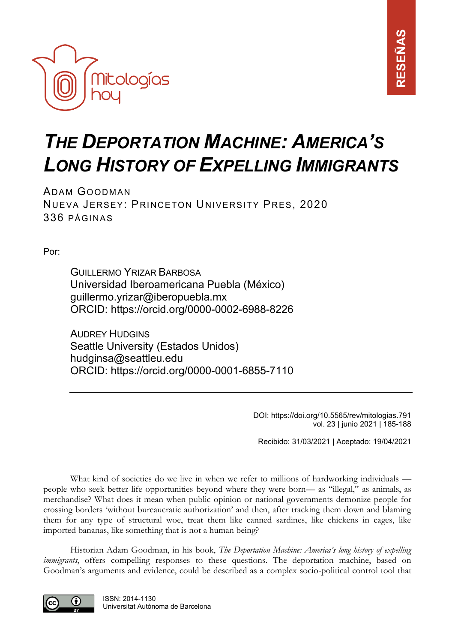

## *THE DEPORTATION MACHINE: AMERICA'S LONG HISTORY OF EXPELLING IMMIGRANTS*

ADAM GOODMAN NUEVA JERSEY: PRINCETON UNIVERSITY PRES, 2020 336 PÁGINAS

Por:

GUILLERMO YRIZAR BARBOSA Universidad Iberoamericana Puebla (México) [guillermo.yrizar@iberopuebla.mx](mailto:guillermo.yrizar@iberopuebla.mx) ORCID:<https://orcid.org/0000-0002-6988-8226>

AUDREY HUDGINS Seattle University (Estados Unidos) hudginsa@seattleu.edu ORCID: https://orcid.org/0000-0001-6855-7110

> DOI: https://doi.org/10.5565/rev/mitologias.791 vol. 23 | junio 2021 | 185-188

Recibido: 31/03/2021 | Aceptado: 19/04/2021

What kind of societies do we live in when we refer to millions of hardworking individuals people who seek better life opportunities beyond where they were born— as "illegal," as animals, as merchandise? What does it mean when public opinion or national governments demonize people for crossing borders 'without bureaucratic authorization' and then, after tracking them down and blaming them for any type of structural woe, treat them like canned sardines, like chickens in cages, like imported bananas, like something that is not a human being?

Historian Adam Goodman, in his book, *The Deportation Machine: America's long history of expelling immigrants*, offers compelling responses to these questions. The deportation machine, based on Goodman's arguments and evidence, could be described as a complex socio-political control tool that

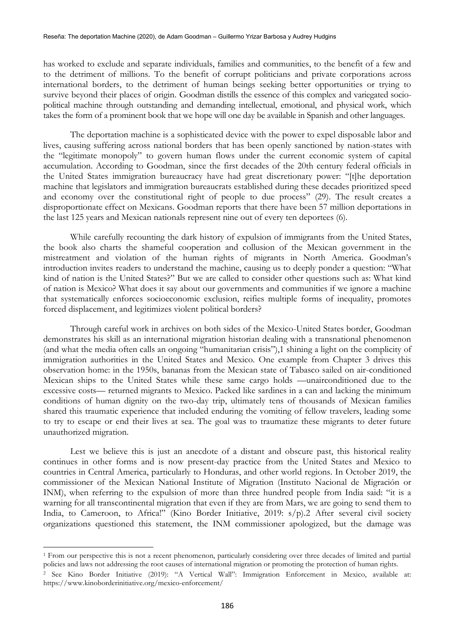has worked to exclude and separate individuals, families and communities, to the benefit of a few and to the detriment of millions. To the benefit of corrupt politicians and private corporations across international borders, to the detriment of human beings seeking better opportunities or trying to survive beyond their places of origin. Goodman distills the essence of this complex and variegated sociopolitical machine through outstanding and demanding intellectual, emotional, and physical work, which takes the form of a prominent book that we hope will one day be available in Spanish and other languages.

The deportation machine is a sophisticated device with the power to expel disposable labor and lives, causing suffering across national borders that has been openly sanctioned by nation-states with the "legitimate monopoly" to govern human flows under the current economic system of capital accumulation. According to Goodman, since the first decades of the 20th century federal officials in the United States immigration bureaucracy have had great discretionary power: "[t]he deportation machine that legislators and immigration bureaucrats established during these decades prioritized speed and economy over the constitutional right of people to due process" (29). The result creates a disproportionate effect on Mexicans. Goodman reports that there have been 57 million deportations in the last 125 years and Mexican nationals represent nine out of every ten deportees (6).

While carefully recounting the dark history of expulsion of immigrants from the United States, the book also charts the shameful cooperation and collusion of the Mexican government in the mistreatment and violation of the human rights of migrants in North America. Goodman's introduction invites readers to understand the machine, causing us to deeply ponder a question: "What kind of nation is the United States?" But we are called to consider other questions such as: What kind of nation is Mexico? What does it say about our governments and communities if we ignore a machine that systematically enforces socioeconomic exclusion, reifies multiple forms of inequality, promotes forced displacement, and legitimizes violent political borders?

Through careful work in archives on both sides of the Mexico-United States border, Goodman demonstrates his skill as an international migration historian dealing with a transnational phenomenon (and what the media often calls an ongoing "humanitarian crisis"),1 shining a light on the complicity of immigration authorities in the United States and Mexico. One example from Chapter 3 drives this observation home: in the 1950s, bananas from the Mexican state of Tabasco sailed on air-conditioned Mexican ships to the United States while these same cargo holds —unairconditioned due to the excessive costs— returned migrants to Mexico. Packed like sardines in a can and lacking the minimum conditions of human dignity on the two-day trip, ultimately tens of thousands of Mexican families shared this traumatic experience that included enduring the vomiting of fellow travelers, leading some to try to escape or end their lives at sea. The goal was to traumatize these migrants to deter future unauthorized migration.

Lest we believe this is just an anecdote of a distant and obscure past, this historical reality continues in other forms and is now present-day practice from the United States and Mexico to countries in Central America, particularly to Honduras, and other world regions. In October 2019, the commissioner of the Mexican National Institute of Migration (Instituto Nacional de Migración or INM), when referring to the expulsion of more than three hundred people from India said: "it is a warning for all transcontinental migration that even if they are from Mars, we are going to send them to India, to Cameroon, to Africa!" (Kino Border Initiative, 2019: s/p).2 After several civil society organizations questioned this statement, the INM commissioner apologized, but the damage was

<sup>&</sup>lt;sup>1</sup> From our perspective this is not a recent phenomenon, particularly considering over three decades of limited and partial policies and laws not addressing the root causes of international migration or promoting the protection of human rights.

<sup>2</sup> See Kino Border Initiative (2019): "A Vertical Wall": Immigration Enforcement in Mexico, available at: https://www.kinoborderinitiative.org/mexico-enforcement/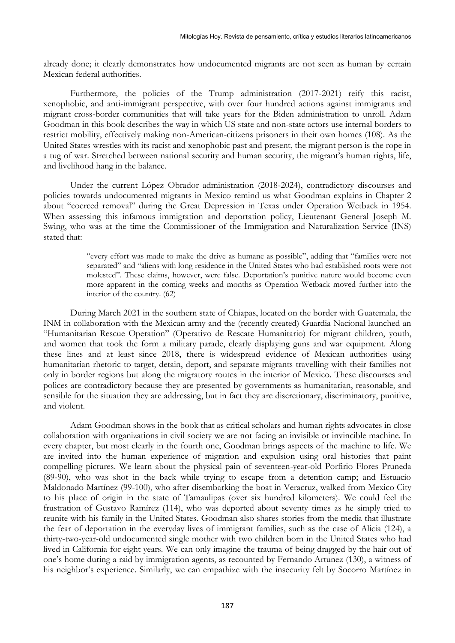already done; it clearly demonstrates how undocumented migrants are not seen as human by certain Mexican federal authorities.

Furthermore, the policies of the Trump administration (2017-2021) reify this racist, xenophobic, and anti-immigrant perspective, with over four hundred actions against immigrants and migrant cross-border communities that will take years for the Biden administration to unroll. Adam Goodman in this book describes the way in which US state and non-state actors use internal borders to restrict mobility, effectively making non-American-citizens prisoners in their own homes (108). As the United States wrestles with its racist and xenophobic past and present, the migrant person is the rope in a tug of war. Stretched between national security and human security, the migrant's human rights, life, and livelihood hang in the balance.

Under the current López Obrador administration (2018-2024), contradictory discourses and policies towards undocumented migrants in Mexico remind us what Goodman explains in Chapter 2 about "coerced removal" during the Great Depression in Texas under Operation Wetback in 1954. When assessing this infamous immigration and deportation policy, Lieutenant General Joseph M. Swing, who was at the time the Commissioner of the Immigration and Naturalization Service (INS) stated that:

> "every effort was made to make the drive as humane as possible", adding that "families were not separated" and "aliens with long residence in the United States who had established roots were not molested". These claims, however, were false. Deportation's punitive nature would become even more apparent in the coming weeks and months as Operation Wetback moved further into the interior of the country. (62)

During March 2021 in the southern state of Chiapas, located on the border with Guatemala, the INM in collaboration with the Mexican army and the (recently created) Guardia Nacional launched an "Humanitarian Rescue Operation" (Operativo de Rescate Humanitario) for migrant children, youth, and women that took the form a military parade, clearly displaying guns and war equipment. Along these lines and at least since 2018, there is widespread evidence of Mexican authorities using humanitarian rhetoric to target, detain, deport, and separate migrants travelling with their families not only in border regions but along the migratory routes in the interior of Mexico. These discourses and polices are contradictory because they are presented by governments as humanitarian, reasonable, and sensible for the situation they are addressing, but in fact they are discretionary, discriminatory, punitive, and violent.

Adam Goodman shows in the book that as critical scholars and human rights advocates in close collaboration with organizations in civil society we are not facing an invisible or invincible machine. In every chapter, but most clearly in the fourth one, Goodman brings aspects of the machine to life. We are invited into the human experience of migration and expulsion using oral histories that paint compelling pictures. We learn about the physical pain of seventeen-year-old Porfirio Flores Pruneda (89-90), who was shot in the back while trying to escape from a detention camp; and Estuacio Maldonado Martínez (99-100), who after disembarking the boat in Veracruz, walked from Mexico City to his place of origin in the state of Tamaulipas (over six hundred kilometers). We could feel the frustration of Gustavo Ramírez (114), who was deported about seventy times as he simply tried to reunite with his family in the United States. Goodman also shares stories from the media that illustrate the fear of deportation in the everyday lives of immigrant families, such as the case of Alicia (124), a thirty-two-year-old undocumented single mother with two children born in the United States who had lived in California for eight years. We can only imagine the trauma of being dragged by the hair out of one's home during a raid by immigration agents, as recounted by Fernando Artunez (130), a witness of his neighbor's experience. Similarly, we can empathize with the insecurity felt by Socorro Martínez in